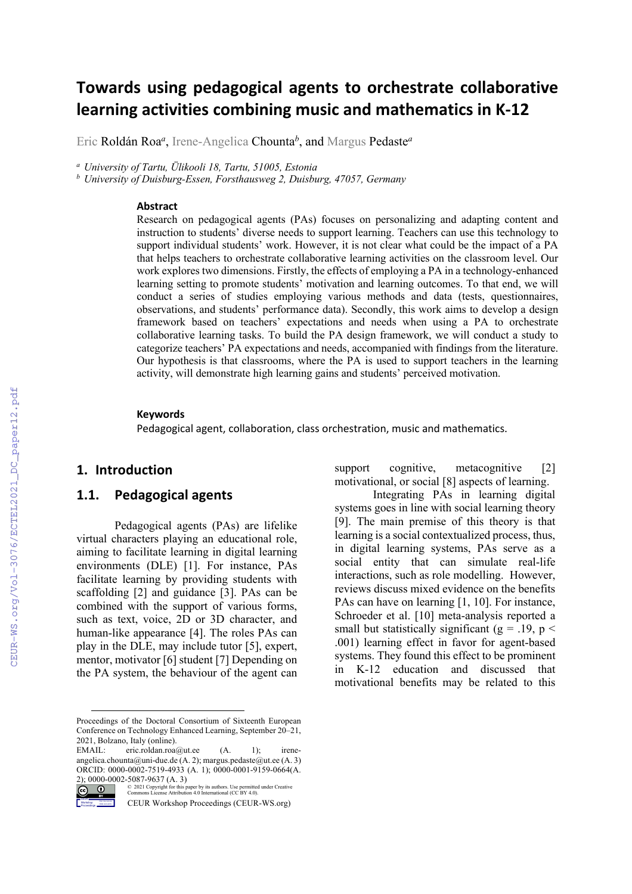# **Towards using pedagogical agents to orchestrate collaborative learning activities combining music and mathematics in K-12**

Eric Roldán Roa*<sup>a</sup>* , Irene-Angelica Chounta*<sup>b</sup>* , and Margus Pedaste*<sup>a</sup>*

*<sup>a</sup> University of Tartu, Ülikooli 18, Tartu, 51005, Estonia*

*<sup>b</sup> University of Duisburg-Essen, Forsthausweg 2, Duisburg, 47057, Germany*

#### **Abstract**

Research on pedagogical agents (PAs) focuses on personalizing and adapting content and instruction to students' diverse needs to support learning. Teachers can use this technology to support individual students' work. However, it is not clear what could be the impact of a PA that helps teachers to orchestrate collaborative learning activities on the classroom level. Our work explores two dimensions. Firstly, the effects of employing a PA in a technology-enhanced learning setting to promote students' motivation and learning outcomes. To that end, we will conduct a series of studies employing various methods and data (tests, questionnaires, observations, and students' performance data). Secondly, this work aims to develop a design framework based on teachers' expectations and needs when using a PA to orchestrate collaborative learning tasks. To build the PA design framework, we will conduct a study to categorize teachers' PA expectations and needs, accompanied with findings from the literature. Our hypothesis is that classrooms, where the PA is used to support teachers in the learning activity, will demonstrate high learning gains and students' perceived motivation.

#### **Keywords**

Pedagogical agent, collaboration, class orchestration, music and mathematics.

#### **1. Introduction**

CEUR Workshop Proceedings

#### **1.1. Pedagogical agents**

Pedagogical agents (PAs) are lifelike virtual characters playing an educational role, aiming to facilitate learning in digital learning environments (DLE) [1]. For instance, PAs facilitate learning by providing students with scaffolding [2] and guidance [3]. PAs can be combined with the support of various forms, such as text, voice, 2D or 3D character, and human-like appearance [4]. The roles PAs can play in the DLE, may include tutor [5], expert, mentor, motivator [6] student [7] Depending on the PA system, the behaviour of the agent can

support cognitive, metacognitive [2] motivational, or social [8] aspects of learning.

Integrating PAs in learning digital systems goes in line with social learning theory [9]. The main premise of this theory is that learning is a social contextualized process, thus, in digital learning systems, PAs serve as a social entity that can simulate real-life interactions, such as role modelling. However, reviews discuss mixed evidence on the benefits PAs can have on learning [1, 10]. For instance, Schroeder et al. [10] meta-analysis reported a small but statistically significant ( $g = .19$ ,  $p <$ .001) learning effect in favor for agent-based systems. They found this effect to be prominent in K-12 education and discussed that motivational benefits may be related to this

Proceedings of the Doctoral Consortium of Sixteenth European Conference on Technology Enhanced Learning, September 20–21, 2021, Bolzano, Italy (online).

EMAIL: eric.roldan.roa@ut.ee (A. 1); ireneangelica.chounta@uni-due.de (A. 2); margus.pedaste@ut.ee (A. 3) ORCID: 0000-0002-7519-4933 (A. 1); 0000-0001-9159-0664(A.

<sup>2); 0000-0002-5087-9637 (</sup>A. 3)<br>  $\overline{(\mathbf{c})}$   $\overline{(\mathbf{c})}$   $\overline{(\mathbf{c})}$   $\overline{(\mathbf{c})}$   $\overline{(\mathbf{c})}$   $\overline{(\mathbf{c})}$   $\overline{(\mathbf{c})}$   $\overline{(\mathbf{c})}$   $\overline{(\mathbf{c})}$   $\overline{(\mathbf{c})}$   $\overline{(\mathbf{c})}$   $\overline{(\mathbf{c})}$   $\overline{(\mathbf{c})}$   $\overline{(\math$ © 2021 Copyright for this paper by its authors. Use permitted under Creative Commons License Attribution 4.0 International (CC BY 4.0).

CEUR Workshop Proceedings (CEUR-WS.org)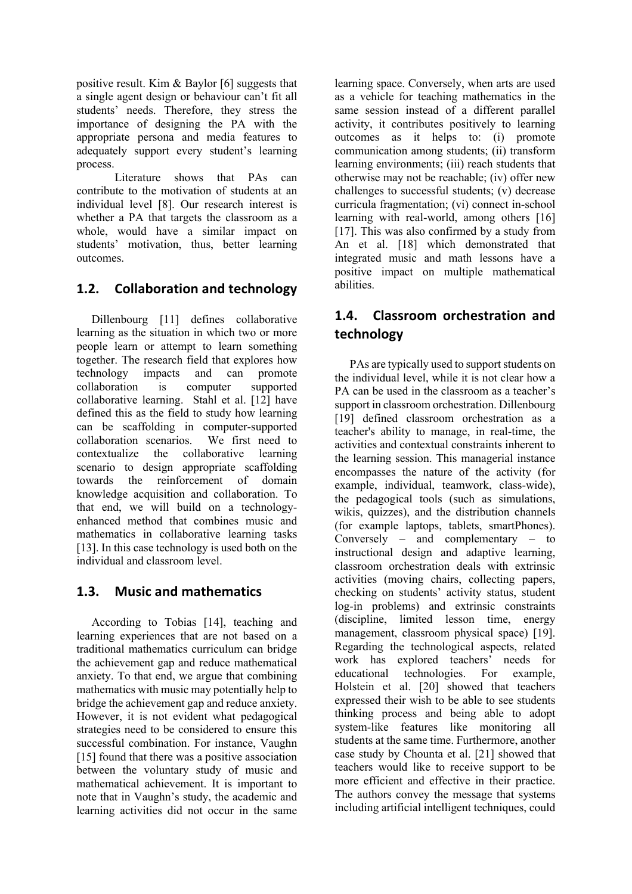positive result. Kim & Baylor [6] suggests that a single agent design or behaviour can't fit all students' needs. Therefore, they stress the importance of designing the PA with the appropriate persona and media features to adequately support every student's learning process.

Literature shows that PAs can contribute to the motivation of students at an individual level [8]. Our research interest is whether a PA that targets the classroom as a whole, would have a similar impact on students' motivation, thus, better learning outcomes.

# **1.2. Collaboration and technology**

Dillenbourg [11] defines collaborative learning as the situation in which two or more people learn or attempt to learn something together. The research field that explores how technology impacts and can promote collaboration is computer supported collaborative learning. Stahl et al. [12] have defined this as the field to study how learning can be scaffolding in computer-supported collaboration scenarios. We first need to contextualize the collaborative learning scenario to design appropriate scaffolding towards the reinforcement of domain knowledge acquisition and collaboration. To that end, we will build on a technologyenhanced method that combines music and mathematics in collaborative learning tasks [13]. In this case technology is used both on the individual and classroom level.

# **1.3. Music and mathematics**

According to Tobias [14], teaching and learning experiences that are not based on a traditional mathematics curriculum can bridge the achievement gap and reduce mathematical anxiety. To that end, we argue that combining mathematics with music may potentially help to bridge the achievement gap and reduce anxiety. However, it is not evident what pedagogical strategies need to be considered to ensure this successful combination. For instance, Vaughn [15] found that there was a positive association between the voluntary study of music and mathematical achievement. It is important to note that in Vaughn's study, the academic and learning activities did not occur in the same

learning space. Conversely, when arts are used as a vehicle for teaching mathematics in the same session instead of a different parallel activity, it contributes positively to learning outcomes as it helps to: (i) promote communication among students; (ii) transform learning environments; (iii) reach students that otherwise may not be reachable; (iv) offer new challenges to successful students; (v) decrease curricula fragmentation; (vi) connect in-school learning with real-world, among others [16] [17]. This was also confirmed by a study from An et al. [18] which demonstrated that integrated music and math lessons have a positive impact on multiple mathematical abilities.

# **1.4. Classroom orchestration and technology**

PAs are typically used to support students on the individual level, while it is not clear how a PA can be used in the classroom as a teacher's support in classroom orchestration. Dillenbourg [19] defined classroom orchestration as a teacher's ability to manage, in real-time, the activities and contextual constraints inherent to the learning session. This managerial instance encompasses the nature of the activity (for example, individual, teamwork, class-wide), the pedagogical tools (such as simulations, wikis, quizzes), and the distribution channels (for example laptops, tablets, smartPhones). Conversely – and complementary – to instructional design and adaptive learning, classroom orchestration deals with extrinsic activities (moving chairs, collecting papers, checking on students' activity status, student log-in problems) and extrinsic constraints (discipline, limited lesson time, energy management, classroom physical space) [19]. Regarding the technological aspects, related work has explored teachers' needs for educational technologies. For example, Holstein et al. [20] showed that teachers expressed their wish to be able to see students thinking process and being able to adopt system-like features like monitoring all students at the same time. Furthermore, another case study by Chounta et al. [21] showed that teachers would like to receive support to be more efficient and effective in their practice. The authors convey the message that systems including artificial intelligent techniques, could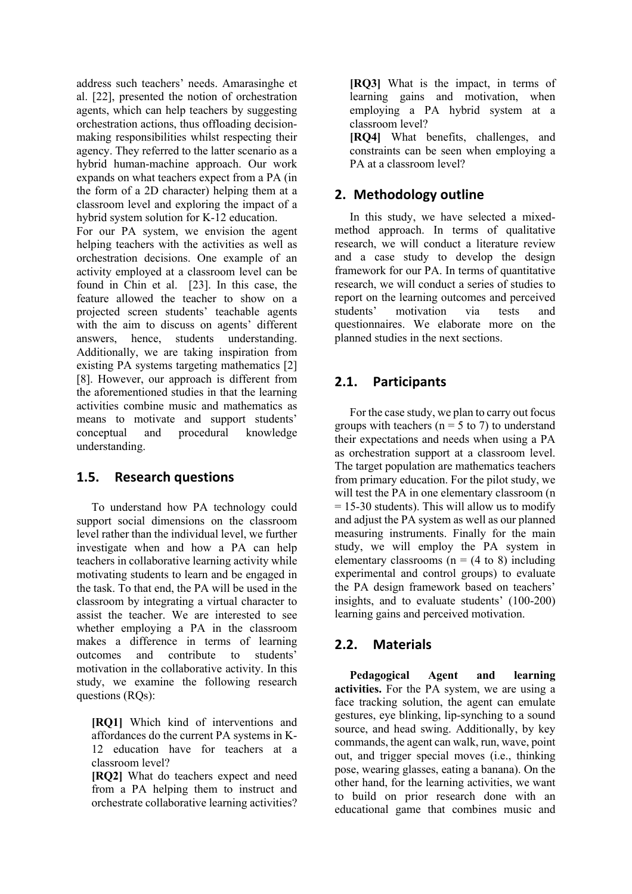address such teachers' needs. Amarasinghe et al. [22], presented the notion of orchestration agents, which can help teachers by suggesting orchestration actions, thus offloading decisionmaking responsibilities whilst respecting their agency. They referred to the latter scenario as a hybrid human-machine approach. Our work expands on what teachers expect from a PA (in the form of a 2D character) helping them at a classroom level and exploring the impact of a hybrid system solution for K-12 education.

For our PA system, we envision the agent helping teachers with the activities as well as orchestration decisions. One example of an activity employed at a classroom level can be found in Chin et al. [23]. In this case, the feature allowed the teacher to show on a projected screen students' teachable agents with the aim to discuss on agents' different answers, hence, students understanding. Additionally, we are taking inspiration from existing PA systems targeting mathematics [2] [8]. However, our approach is different from the aforementioned studies in that the learning activities combine music and mathematics as means to motivate and support students' conceptual and procedural knowledge understanding.

### **1.5. Research questions**

To understand how PA technology could support social dimensions on the classroom level rather than the individual level, we further investigate when and how a PA can help teachers in collaborative learning activity while motivating students to learn and be engaged in the task. To that end, the PA will be used in the classroom by integrating a virtual character to assist the teacher. We are interested to see whether employing a PA in the classroom makes a difference in terms of learning outcomes and contribute to students' motivation in the collaborative activity. In this study, we examine the following research questions (RQs):

**[RQ1]** Which kind of interventions and affordances do the current PA systems in K-12 education have for teachers at a classroom level?

**[RQ2]** What do teachers expect and need from a PA helping them to instruct and orchestrate collaborative learning activities? **[RQ3]** What is the impact, in terms of learning gains and motivation, when employing a PA hybrid system at a classroom level?

**[RQ4]** What benefits, challenges, and constraints can be seen when employing a PA at a classroom level?

## **2. Methodology outline**

In this study, we have selected a mixedmethod approach. In terms of qualitative research, we will conduct a literature review and a case study to develop the design framework for our PA. In terms of quantitative research, we will conduct a series of studies to report on the learning outcomes and perceived students' motivation via tests and questionnaires. We elaborate more on the planned studies in the next sections.

# **2.1. Participants**

For the case study, we plan to carry out focus groups with teachers ( $n = 5$  to 7) to understand their expectations and needs when using a PA as orchestration support at a classroom level. The target population are mathematics teachers from primary education. For the pilot study, we will test the PA in one elementary classroom (n  $= 15-30$  students). This will allow us to modify and adjust the PA system as well as our planned measuring instruments. Finally for the main study, we will employ the PA system in elementary classrooms ( $n = (4 \text{ to } 8)$ ) including experimental and control groups) to evaluate the PA design framework based on teachers' insights, and to evaluate students' (100-200) learning gains and perceived motivation.

### **2.2. Materials**

**Pedagogical Agent and learning activities.** For the PA system, we are using a face tracking solution, the agent can emulate gestures, eye blinking, lip-synching to a sound source, and head swing. Additionally, by key commands, the agent can walk, run, wave, point out, and trigger special moves (i.e., thinking pose, wearing glasses, eating a banana). On the other hand, for the learning activities, we want to build on prior research done with an educational game that combines music and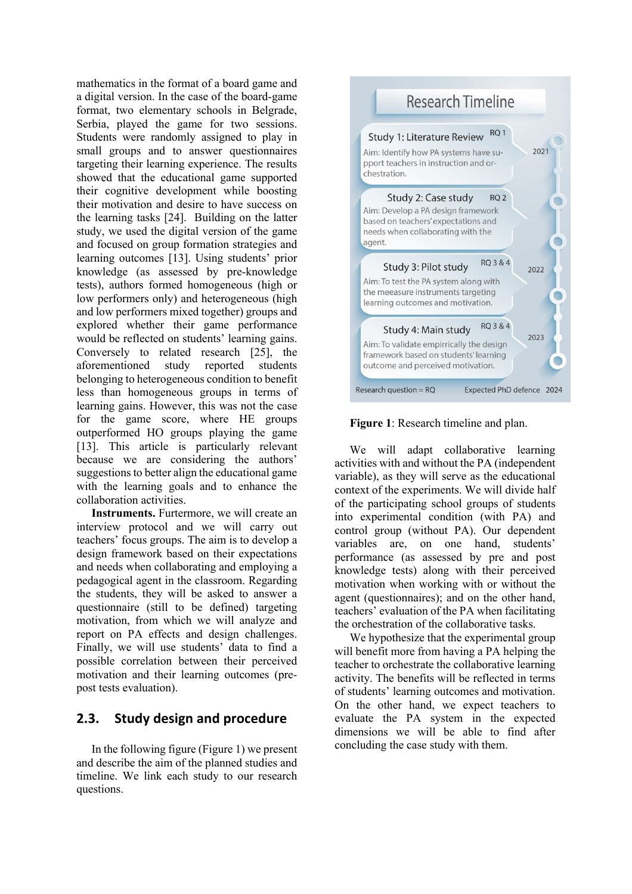mathematics in the format of a board game and a digital version. In the case of the board-game format, two elementary schools in Belgrade, Serbia, played the game for two sessions. Students were randomly assigned to play in small groups and to answer questionnaires targeting their learning experience. The results showed that the educational game supported their cognitive development while boosting their motivation and desire to have success on the learning tasks [24]. Building on the latter study, we used the digital version of the game and focused on group formation strategies and learning outcomes [13]. Using students' prior knowledge (as assessed by pre-knowledge tests), authors formed homogeneous (high or low performers only) and heterogeneous (high and low performers mixed together) groups and explored whether their game performance would be reflected on students' learning gains. Conversely to related research [25], the aforementioned study reported students belonging to heterogeneous condition to benefit less than homogeneous groups in terms of learning gains. However, this was not the case for the game score, where HE groups outperformed HO groups playing the game [13]. This article is particularly relevant because we are considering the authors' suggestions to better align the educational game with the learning goals and to enhance the collaboration activities.

**Instruments.** Furtermore, we will create an interview protocol and we will carry out teachers' focus groups. The aim is to develop a design framework based on their expectations and needs when collaborating and employing a pedagogical agent in the classroom. Regarding the students, they will be asked to answer a questionnaire (still to be defined) targeting motivation, from which we will analyze and report on PA effects and design challenges. Finally, we will use students' data to find a possible correlation between their perceived motivation and their learning outcomes (prepost tests evaluation).

### **2.3. Study design and procedure**

In the following figure (Figure 1) we present and describe the aim of the planned studies and timeline. We link each study to our research questions.





We will adapt collaborative learning activities with and without the PA (independent variable), as they will serve as the educational context of the experiments. We will divide half of the participating school groups of students into experimental condition (with PA) and control group (without PA). Our dependent variables are, on one hand, students' performance (as assessed by pre and post knowledge tests) along with their perceived motivation when working with or without the agent (questionnaires); and on the other hand, teachers' evaluation of the PA when facilitating the orchestration of the collaborative tasks.

We hypothesize that the experimental group will benefit more from having a PA helping the teacher to orchestrate the collaborative learning activity. The benefits will be reflected in terms of students' learning outcomes and motivation. On the other hand, we expect teachers to evaluate the PA system in the expected dimensions we will be able to find after concluding the case study with them.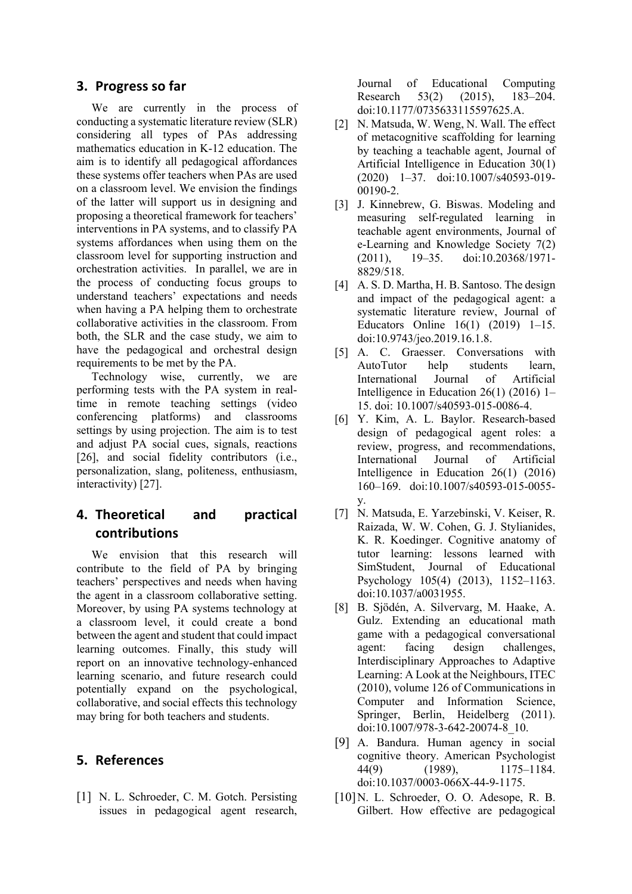#### **3. Progress so far**

We are currently in the process of conducting a systematic literature review (SLR) considering all types of PAs addressing mathematics education in K-12 education. The aim is to identify all pedagogical affordances these systems offer teachers when PAs are used on a classroom level. We envision the findings of the latter will support us in designing and proposing a theoretical framework for teachers' interventions in PA systems, and to classify PA systems affordances when using them on the classroom level for supporting instruction and orchestration activities. In parallel, we are in the process of conducting focus groups to understand teachers' expectations and needs when having a PA helping them to orchestrate collaborative activities in the classroom. From both, the SLR and the case study, we aim to have the pedagogical and orchestral design requirements to be met by the PA.

Technology wise, currently, we are performing tests with the PA system in realtime in remote teaching settings (video conferencing platforms) and classrooms settings by using projection. The aim is to test and adjust PA social cues, signals, reactions [26], and social fidelity contributors (i.e., personalization, slang, politeness, enthusiasm, interactivity) [27].

# **4. Theoretical and practical contributions**

We envision that this research will contribute to the field of PA by bringing teachers' perspectives and needs when having the agent in a classroom collaborative setting. Moreover, by using PA systems technology at a classroom level, it could create a bond between the agent and student that could impact learning outcomes. Finally, this study will report on an innovative technology-enhanced learning scenario, and future research could potentially expand on the psychological, collaborative, and social effects this technology may bring for both teachers and students.

#### **5. References**

[1] N. L. Schroeder, C. M. Gotch. Persisting issues in pedagogical agent research, Journal of Educational Computing Research 53(2) (2015), 183–204. doi:10.1177/0735633115597625.A.

- [2] N. Matsuda, W. Weng, N. Wall. The effect of metacognitive scaffolding for learning by teaching a teachable agent, Journal of Artificial Intelligence in Education 30(1) (2020) 1–37. doi:10.1007/s40593-019- 00190-2.
- [3] J. Kinnebrew, G. Biswas. Modeling and measuring self-regulated learning in teachable agent environments, Journal of e-Learning and Knowledge Society 7(2) (2011), 19–35. doi:10.20368/1971- 8829/518.
- [4] A. S. D. Martha, H. B. Santoso. The design and impact of the pedagogical agent: a systematic literature review, Journal of Educators Online 16(1) (2019) 1–15. doi:10.9743/jeo.2019.16.1.8.
- [5] A. C. Graesser. Conversations with AutoTutor help students learn, International Journal of Artificial Intelligence in Education 26(1) (2016) 1– 15. doi: 10.1007/s40593-015-0086-4.
- [6] Y. Kim, A. L. Baylor. Research-based design of pedagogical agent roles: a review, progress, and recommendations, International Journal of Artificial Intelligence in Education 26(1) (2016) 160–169. doi:10.1007/s40593-015-0055 y.
- [7] N. Matsuda, E. Yarzebinski, V. Keiser, R. Raizada, W. W. Cohen, G. J. Stylianides, K. R. Koedinger. Cognitive anatomy of tutor learning: lessons learned with SimStudent, Journal of Educational Psychology 105(4) (2013), 1152–1163. doi:10.1037/a0031955.
- [8] B. Sjödén, A. Silvervarg, M. Haake, A. Gulz. Extending an educational math game with a pedagogical conversational agent: facing design challenges, Interdisciplinary Approaches to Adaptive Learning: A Look at the Neighbours, ITEC (2010), volume 126 of Communications in Computer and Information Science, Springer, Berlin, Heidelberg (2011). doi:10.1007/978-3-642-20074-8\_10.
- [9] A. Bandura. Human agency in social cognitive theory. American Psychologist 44(9) (1989), 1175–1184. doi:10.1037/0003-066X-44-9-1175.
- [10]N. L. Schroeder, O. O. Adesope, R. B. Gilbert. How effective are pedagogical